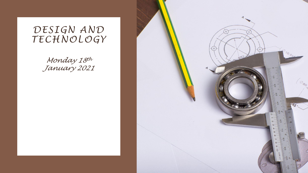### *DESIGN AND TECHNOLOGY*

*Monday 18th January 2021*

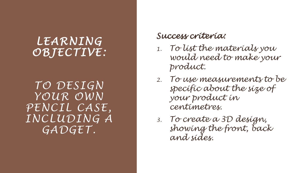## *LEARNING OBJECTIVE :*

*TO DESIGN YOUR OWN PENCIL CASE , INCLUDING A GADGET .* 

#### *Success criteria:*

- *1. To list the materials you would need to make your product.*
- *2. To use measurements to be specific about the size of your product in centimetres.*
- *3. To create a 3D design, showing the front, back and sides.*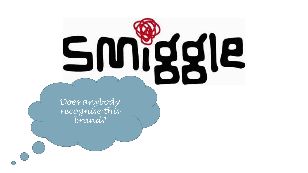![](_page_2_Picture_0.jpeg)

*Does anybody recognise this brand?*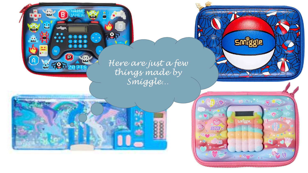*Here are just a few things made by Smiggle…* 

**TIT A** 

**Co** 

**MITTS FITTEFIX** 

 $\boxed{B}$ 

<u>Suustale</u>

 $\begin{array}{ccccc}\n\bullet & \bullet & \bullet & \bullet & \bullet & \bullet\n\end{array}$ 

P

å

<u>9, 1</u>

in the company of the company of the company of

 $\sum_{i=1}^{n}$   $\sum_{i=1}^{n}$ 

OVE

smiggle,

**A SMO** 

 $X +$ 

OLS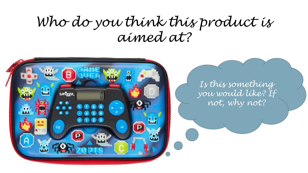# *Who do you think this product is aimed at?*

![](_page_4_Picture_1.jpeg)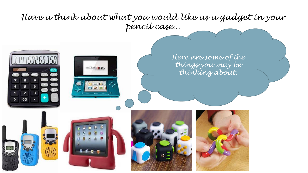#### *Have a think about what you would like as a gadget in your pencil case…*

![](_page_5_Picture_1.jpeg)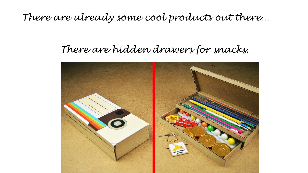*There are already some cool products out there…* 

## *There are hidden drawers for snacks.*

![](_page_6_Picture_2.jpeg)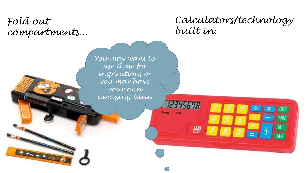*Fold out compartments…* 

**CARL CREEK** 

*You may want to* 

*use these for* 

*inspiration, or* 

*you may have* 

*your own* 

*amazing idea!* 

12345678

 $\frac{\partial N}{\partial E}$ 

 $7.686$ 

**Tinies** 

*Calculators/technology built in.*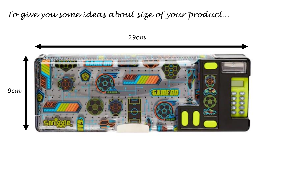#### *To give you some ideas about size of your product…*

![](_page_8_Figure_1.jpeg)

*29cm*

*9cm*